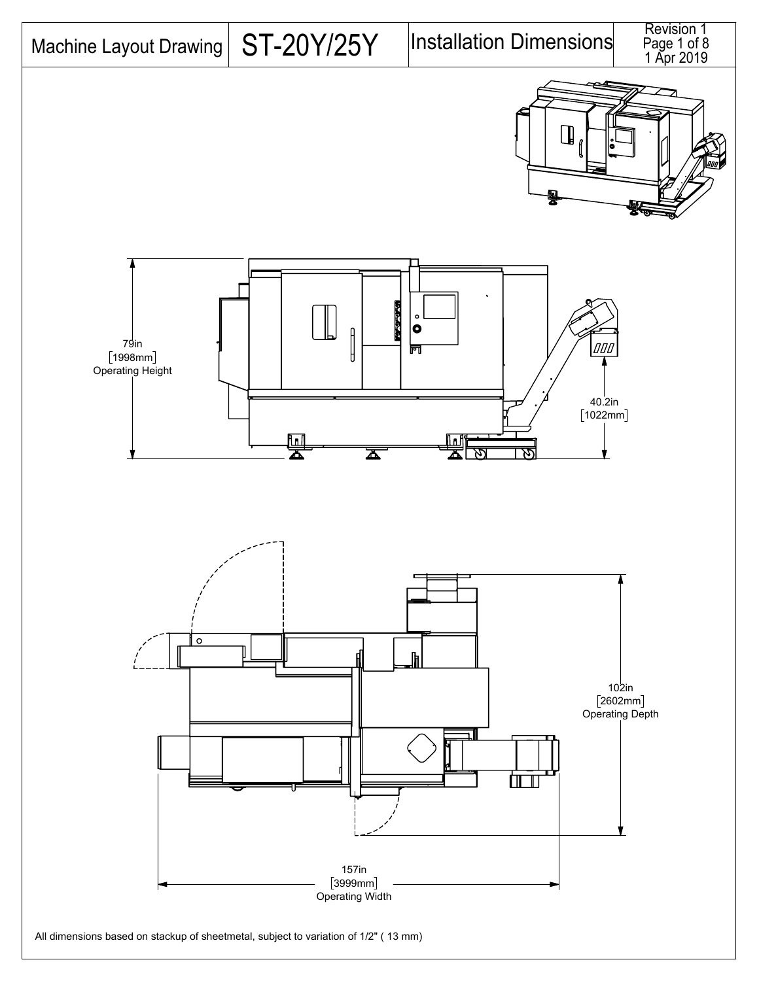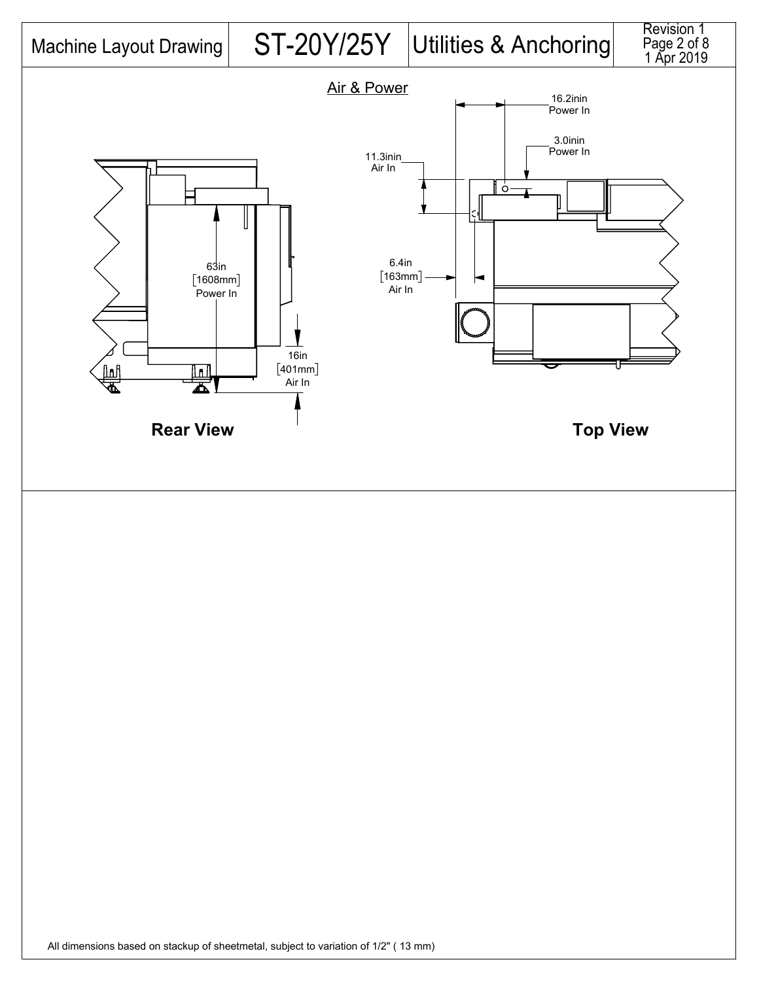

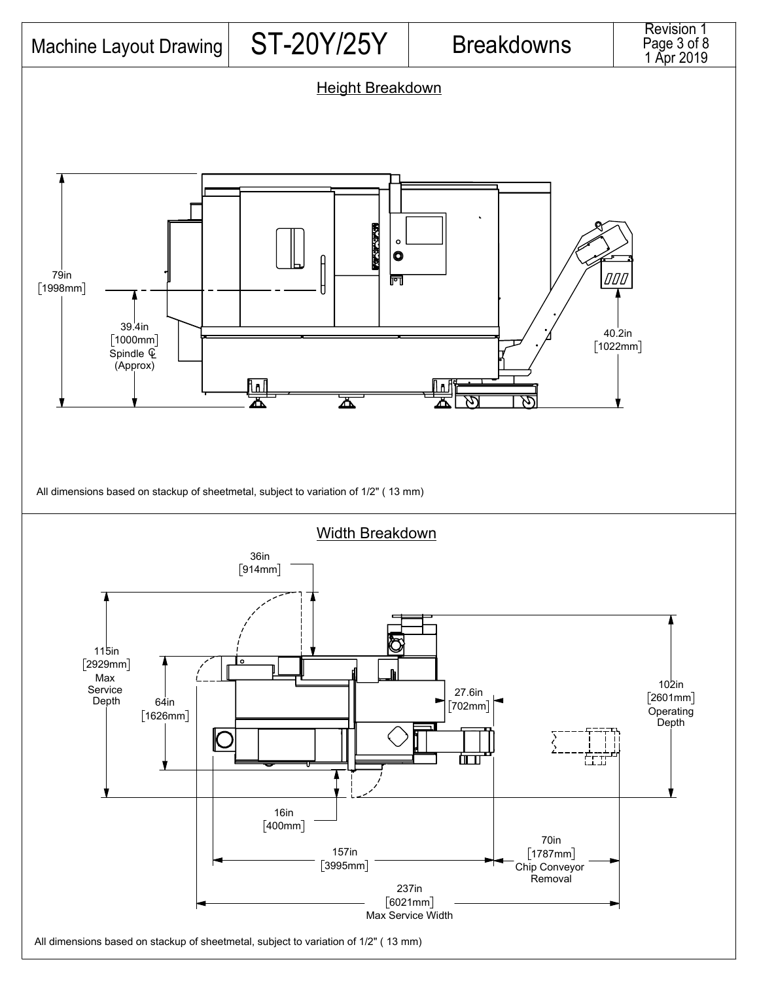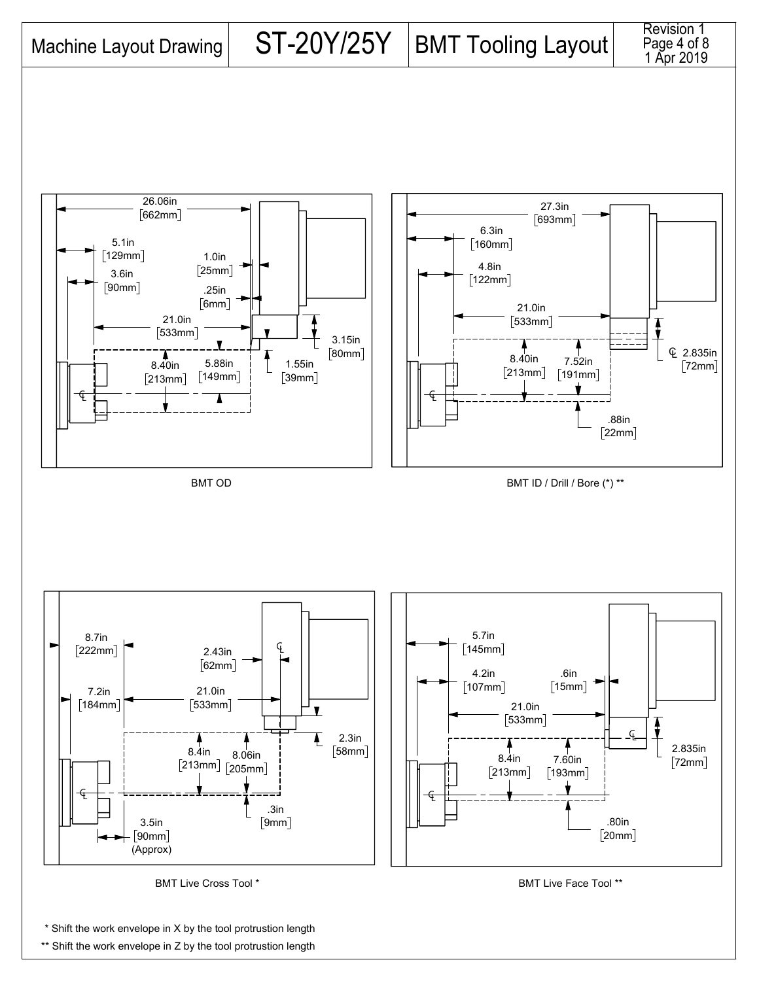





\* Shift the work envelope in X by the tool protrustion length

\*\* Shift the work envelope in Z by the tool protrustion length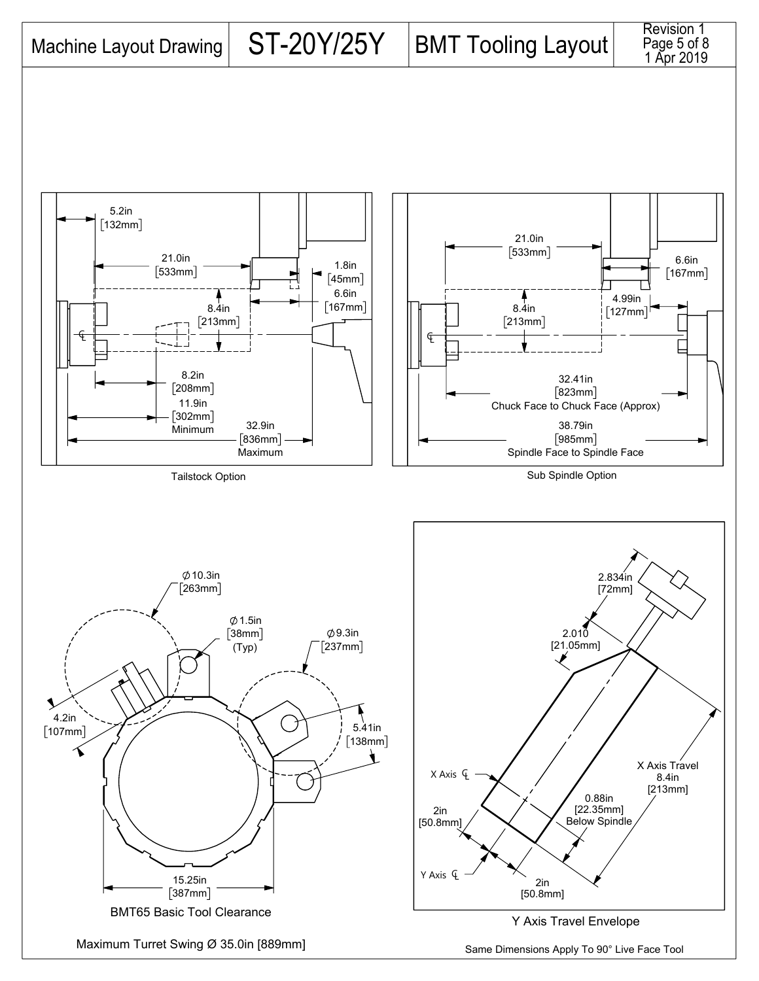



4.99in  $[127mm]$ 

2.834in

6.6in  $[167mm]$ 

Revision 1 Page 5 of 8<br>1 Apr 2019

Maximum Turret Swing Ø 35.0in [889mm]

15.25in  $[387mm]$ 

BMT65 Basic Tool Clearance

Same Dimensions Apply To 90° Live Face Tool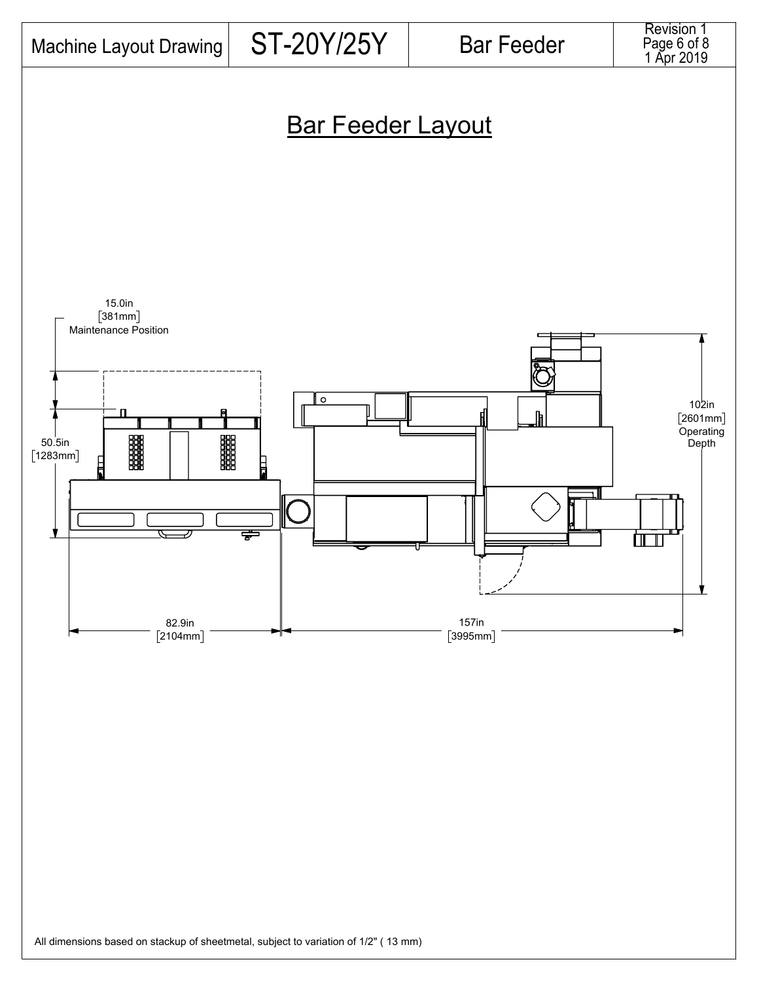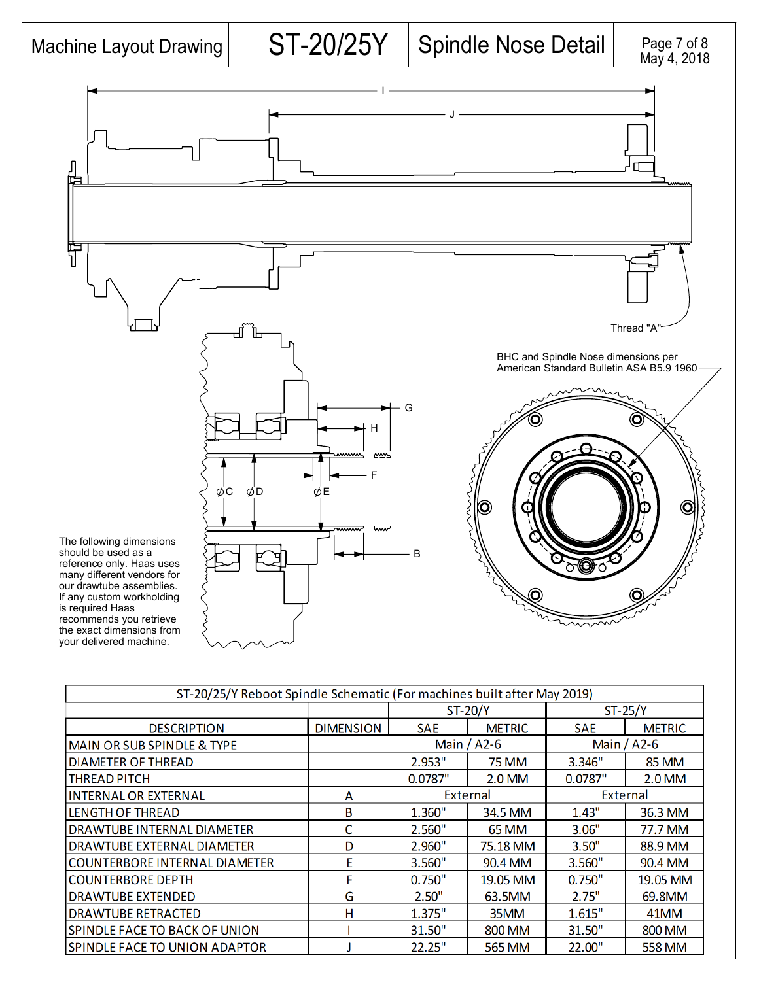## Machine Layout Drawing  $\vert$  ST-20/25Y  $\vert$  Spindle Nose Detail



| ST-20/25/Y Reboot Spindle Schematic (For machines built after May 2019) |                  |                |               |                 |               |  |  |
|-------------------------------------------------------------------------|------------------|----------------|---------------|-----------------|---------------|--|--|
|                                                                         |                  | <b>ST-20/Y</b> |               | $ST-25/Y$       |               |  |  |
| <b>DESCRIPTION</b>                                                      | <b>DIMENSION</b> | <b>SAE</b>     | <b>METRIC</b> | <b>SAE</b>      | <b>METRIC</b> |  |  |
| <b>MAIN OR SUB SPINDLE &amp; TYPE</b>                                   |                  | Main / A2-6    |               | Main / A2-6     |               |  |  |
| <b>DIAMETER OF THREAD</b>                                               |                  | 2.953"         | <b>75 MM</b>  | 3.346"          | <b>85 MM</b>  |  |  |
| THREAD PITCH                                                            |                  | 0.0787"        | 2.0 MM        | 0.0787"         | 2.0 MM        |  |  |
| <b>INTERNAL OR EXTERNAL</b>                                             | A                | External       |               | <b>External</b> |               |  |  |
| <b>LENGTH OF THREAD</b>                                                 | B                | 1.360"         | 34.5 MM       | 1.43"           | 36.3 MM       |  |  |
| DRAWTUBE INTERNAL DIAMETER                                              | C                | 2.560"         | <b>65 MM</b>  | 3.06"           | 77.7 MM       |  |  |
| DRAWTUBE EXTERNAL DIAMETER                                              | D                | 2.960"         | 75.18 MM      | 3.50"           | 88.9 MM       |  |  |
| <b>COUNTERBORE INTERNAL DIAMETER</b>                                    | E                | 3.560"         | 90.4 MM       | 3.560"          | 90.4 MM       |  |  |
| <b>COUNTERBORE DEPTH</b>                                                | F                | 0.750"         | 19.05 MM      | 0.750"          | 19.05 MM      |  |  |
| <b>DRAWTUBE EXTENDED</b>                                                | G                | 2.50"          | 63.5MM        | 2.75"           | 69.8MM        |  |  |
| <b>DRAWTUBE RETRACTED</b>                                               | н                | 1.375"         | 35MM          | 1.615"          | 41MM          |  |  |
| SPINDLE FACE TO BACK OF UNION                                           |                  | 31.50"         | 800 MM        | 31.50"          | 800 MM        |  |  |
| SPINDLE FACE TO UNION ADAPTOR                                           |                  | 22.25"         | 565 MM        | 22.00"          | 558 MM        |  |  |